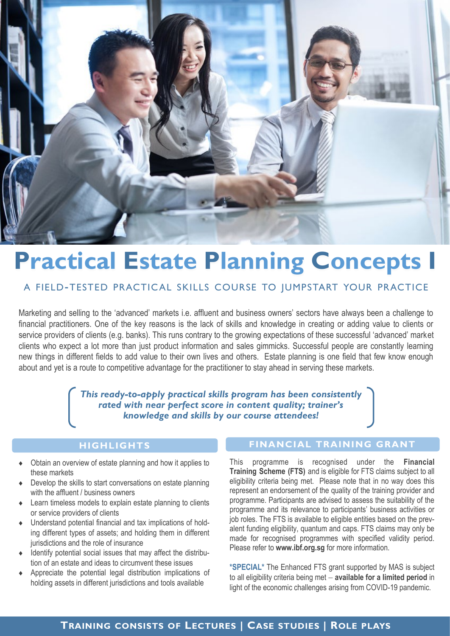

# **Practical Estate Planning Concepts I**

# A FIELD-TESTED PRACTICAL SKILLS COURSE TO JUMPSTART YOUR PRACTICE

Marketing and selling to the 'advanced' markets i.e. affluent and business owners' sectors have always been a challenge to financial practitioners. One of the key reasons is the lack of skills and knowledge in creating or adding value to clients or service providers of clients (e.g. banks). This runs contrary to the growing expectations of these successful 'advanced' market clients who expect a lot more than just product information and sales gimmicks. Successful people are constantly learning new things in different fields to add value to their own lives and others. Estate planning is one field that few know enough about and yet is a route to competitive advantage for the practitioner to stay ahead in serving these markets.

> *This ready-to-apply practical skills program has been consistently rated with near perfect score in content quality; trainer's knowledge and skills by our course attendees!*

# **HIGHLIGHTS**

- Obtain an overview of estate planning and how it applies to these markets
- Develop the skills to start conversations on estate planning with the affluent / business owners
- Learn timeless models to explain estate planning to clients or service providers of clients
- Understand potential financial and tax implications of holding different types of assets; and holding them in different jurisdictions and the role of insurance
- Identify potential social issues that may affect the distribution of an estate and ideas to circumvent these issues
- Appreciate the potential legal distribution implications of holding assets in different jurisdictions and tools available

# **FINANCIAL TRAINING GRANT**

This programme is recognised under the **Financial Training Scheme (FTS)** and is eligible for FTS claims subject to all eligibility criteria being met. Please note that in no way does this represent an endorsement of the quality of the training provider and programme. Participants are advised to assess the suitability of the programme and its relevance to participants' business activities or job roles. The FTS is available to eligible entities based on the prevalent funding eligibility, quantum and caps. FTS claims may only be made for recognised programmes with specified validity period. Please refer to **www.ibf.org.sg** for more information.

**\*SPECIAL\*** The Enhanced FTS grant supported by MAS is subject to all eligibility criteria being met − **available for a limited period** in light of the economic challenges arising from COVID-19 pandemic.

# **TRAINING CONSISTS OF LECTURES | CASE STUDIES | ROLE PLAYS**